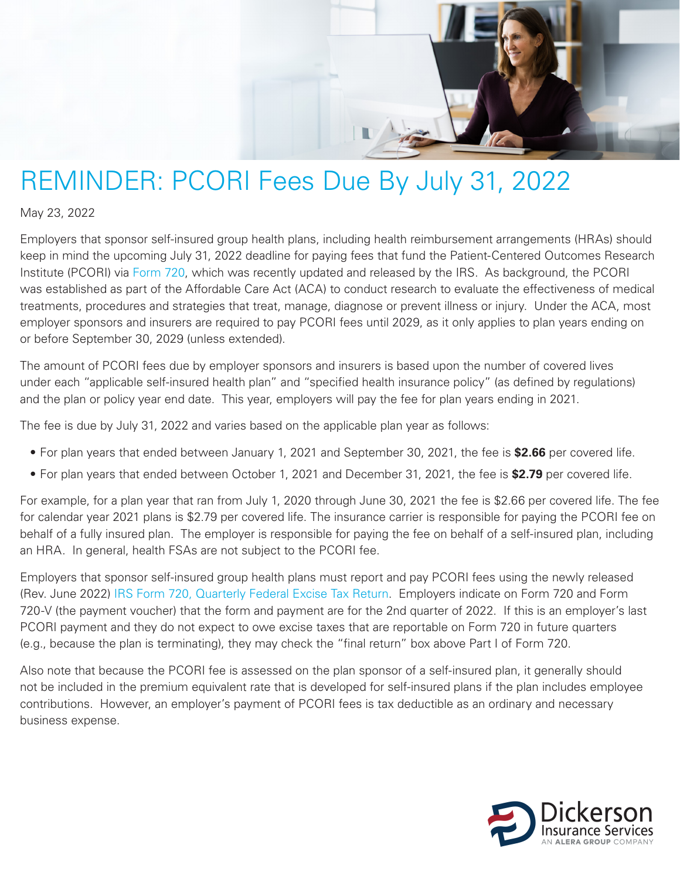

## REMINDER: PCORI Fees Due By July 31, 2022

May 23, 2022

Employers that sponsor self-insured group health plans, including health reimbursement arrangements (HRAs) should keep in mind the upcoming July 31, 2022 deadline for paying fees that fund the Patient-Centered Outcomes Research Institute (PCORI) via [Form 720,](https://www.irs.gov/pub/irs-pdf/f720.pdf) which was recently updated and released by the IRS. As background, the PCORI was established as part of the Affordable Care Act (ACA) to conduct research to evaluate the effectiveness of medical treatments, procedures and strategies that treat, manage, diagnose or prevent illness or injury. Under the ACA, most employer sponsors and insurers are required to pay PCORI fees until 2029, as it only applies to plan years ending on or before September 30, 2029 (unless extended).

The amount of PCORI fees due by employer sponsors and insurers is based upon the number of covered lives under each "applicable self-insured health plan" and "specified health insurance policy" (as defined by regulations) and the plan or policy year end date. This year, employers will pay the fee for plan years ending in 2021.

The fee is due by July 31, 2022 and varies based on the applicable plan year as follows:

- For plan years that ended between January 1, 2021 and September 30, 2021, the fee is **\$2.66** per covered life.
- For plan years that ended between October 1, 2021 and December 31, 2021, the fee is **\$2.79** per covered life.

For example, for a plan year that ran from July 1, 2020 through June 30, 2021 the fee is \$2.66 per covered life. The fee for calendar year 2021 plans is \$2.79 per covered life. The insurance carrier is responsible for paying the PCORI fee on behalf of a fully insured plan. The employer is responsible for paying the fee on behalf of a self-insured plan, including an HRA. In general, health FSAs are not subject to the PCORI fee.

Employers that sponsor self-insured group health plans must report and pay PCORI fees using the newly released (Rev. June 2022) [IRS Form 720, Quarterly Federal Excise Tax Return.](https://aleragroup.com/news/dol-releases-model-notices-and-other-resources-related-to-cobra-premium-assistance-04082021/) Employers indicate on Form 720 and Form 720-V (the payment voucher) that the form and payment are for the 2nd quarter of 2022. If this is an employer's last PCORI payment and they do not expect to owe excise taxes that are reportable on Form 720 in future quarters (e.g., because the plan is terminating), they may check the "final return" box above Part I of Form 720.

Also note that because the PCORI fee is assessed on the plan sponsor of a self-insured plan, it generally should not be included in the premium equivalent rate that is developed for self-insured plans if the plan includes employee contributions. However, an employer's payment of PCORI fees is tax deductible as an ordinary and necessary business expense.